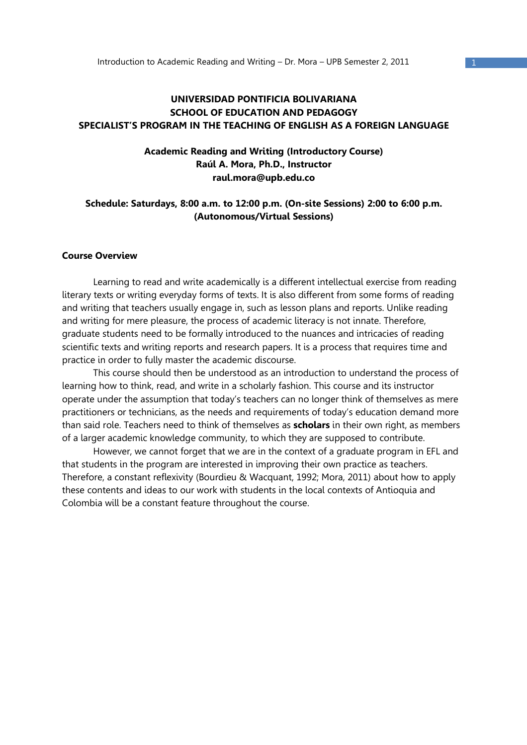# **UNIVERSIDAD PONTIFICIA BOLIVARIANA SCHOOL OF EDUCATION AND PEDAGOGY SPECIALIST'S PROGRAM IN THE TEACHING OF ENGLISH AS A FOREIGN LANGUAGE**

# **Academic Reading and Writing (Introductory Course) Raúl A. Mora, Ph.D., Instructor raul.mora@upb.edu.co**

## **Schedule: Saturdays, 8:00 a.m. to 12:00 p.m. (On-site Sessions) 2:00 to 6:00 p.m. (Autonomous/Virtual Sessions)**

#### **Course Overview**

 Learning to read and write academically is a different intellectual exercise from reading literary texts or writing everyday forms of texts. It is also different from some forms of reading and writing that teachers usually engage in, such as lesson plans and reports. Unlike reading and writing for mere pleasure, the process of academic literacy is not innate. Therefore, graduate students need to be formally introduced to the nuances and intricacies of reading scientific texts and writing reports and research papers. It is a process that requires time and practice in order to fully master the academic discourse.

 This course should then be understood as an introduction to understand the process of learning how to think, read, and write in a scholarly fashion. This course and its instructor operate under the assumption that today's teachers can no longer think of themselves as mere practitioners or technicians, as the needs and requirements of today's education demand more than said role. Teachers need to think of themselves as **scholars** in their own right, as members of a larger academic knowledge community, to which they are supposed to contribute.

 However, we cannot forget that we are in the context of a graduate program in EFL and that students in the program are interested in improving their own practice as teachers. Therefore, a constant reflexivity (Bourdieu & Wacquant, 1992; Mora, 2011) about how to apply these contents and ideas to our work with students in the local contexts of Antioquia and Colombia will be a constant feature throughout the course.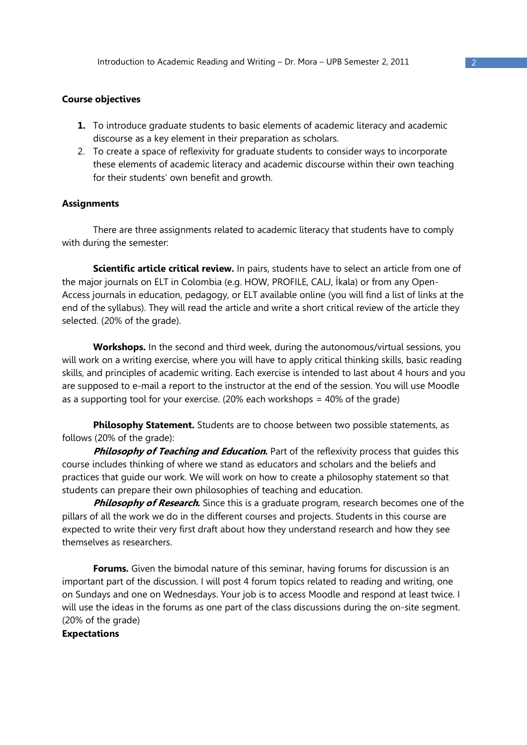#### **Course objectives**

- **1.** To introduce graduate students to basic elements of academic literacy and academic discourse as a key element in their preparation as scholars.
- 2. To create a space of reflexivity for graduate students to consider ways to incorporate these elements of academic literacy and academic discourse within their own teaching for their students' own benefit and growth.

#### **Assignments**

There are three assignments related to academic literacy that students have to comply with during the semester:

**Scientific article critical review.** In pairs, students have to select an article from one of the major journals on ELT in Colombia (e.g. HOW, PROFILE, CALJ, Íkala) or from any Open-Access journals in education, pedagogy, or ELT available online (you will find a list of links at the end of the syllabus). They will read the article and write a short critical review of the article they selected. (20% of the grade).

**Workshops.** In the second and third week, during the autonomous/virtual sessions, you will work on a writing exercise, where you will have to apply critical thinking skills, basic reading skills, and principles of academic writing. Each exercise is intended to last about 4 hours and you are supposed to e-mail a report to the instructor at the end of the session. You will use Moodle as a supporting tool for your exercise. (20% each workshops = 40% of the grade)

**Philosophy Statement.** Students are to choose between two possible statements, as follows (20% of the grade):

**Philosophy of Teaching and Education.** Part of the reflexivity process that quides this course includes thinking of where we stand as educators and scholars and the beliefs and practices that guide our work. We will work on how to create a philosophy statement so that students can prepare their own philosophies of teaching and education.

**Philosophy of Research.** Since this is a graduate program, research becomes one of the pillars of all the work we do in the different courses and projects. Students in this course are expected to write their very first draft about how they understand research and how they see themselves as researchers.

**Forums.** Given the bimodal nature of this seminar, having forums for discussion is an important part of the discussion. I will post 4 forum topics related to reading and writing, one on Sundays and one on Wednesdays. Your job is to access Moodle and respond at least twice. I will use the ideas in the forums as one part of the class discussions during the on-site segment. (20% of the grade)

## **Expectations**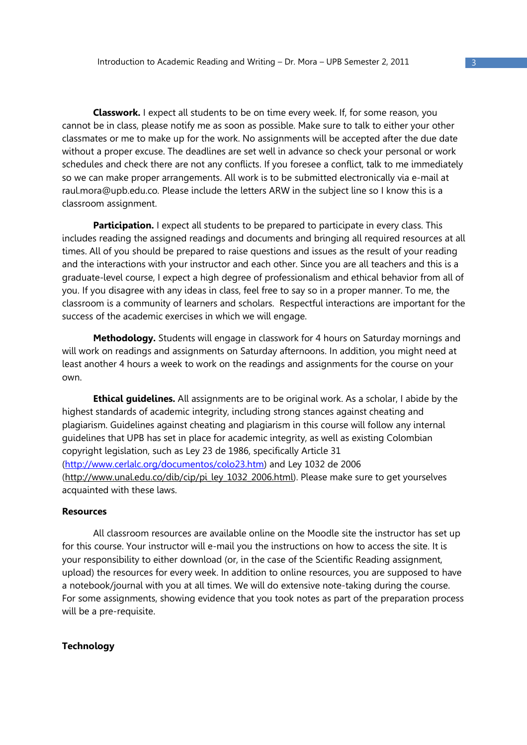**Classwork.** I expect all students to be on time every week. If, for some reason, you cannot be in class, please notify me as soon as possible. Make sure to talk to either your other classmates or me to make up for the work. No assignments will be accepted after the due date without a proper excuse. The deadlines are set well in advance so check your personal or work schedules and check there are not any conflicts. If you foresee a conflict, talk to me immediately so we can make proper arrangements. All work is to be submitted electronically via e-mail at raul.mora@upb.edu.co. Please include the letters ARW in the subject line so I know this is a classroom assignment.

**Participation.** I expect all students to be prepared to participate in every class. This includes reading the assigned readings and documents and bringing all required resources at all times. All of you should be prepared to raise questions and issues as the result of your reading and the interactions with your instructor and each other. Since you are all teachers and this is a graduate-level course, I expect a high degree of professionalism and ethical behavior from all of you. If you disagree with any ideas in class, feel free to say so in a proper manner. To me, the classroom is a community of learners and scholars. Respectful interactions are important for the success of the academic exercises in which we will engage.

**Methodology.** Students will engage in classwork for 4 hours on Saturday mornings and will work on readings and assignments on Saturday afternoons. In addition, you might need at least another 4 hours a week to work on the readings and assignments for the course on your own.

**Ethical guidelines.** All assignments are to be original work. As a scholar, I abide by the highest standards of academic integrity, including strong stances against cheating and plagiarism. Guidelines against cheating and plagiarism in this course will follow any internal guidelines that UPB has set in place for academic integrity, as well as existing Colombian copyright legislation, such as Ley 23 de 1986, specifically Article 31 (http://www.cerlalc.org/documentos/colo23.htm) and Ley 1032 de 2006 (http://www.unal.edu.co/dib/cip/pi\_ley\_1032\_2006.html). Please make sure to get yourselves acquainted with these laws.

#### **Resources**

 All classroom resources are available online on the Moodle site the instructor has set up for this course. Your instructor will e-mail you the instructions on how to access the site. It is your responsibility to either download (or, in the case of the Scientific Reading assignment, upload) the resources for every week. In addition to online resources, you are supposed to have a notebook/journal with you at all times. We will do extensive note-taking during the course. For some assignments, showing evidence that you took notes as part of the preparation process will be a pre-requisite.

#### **Technology**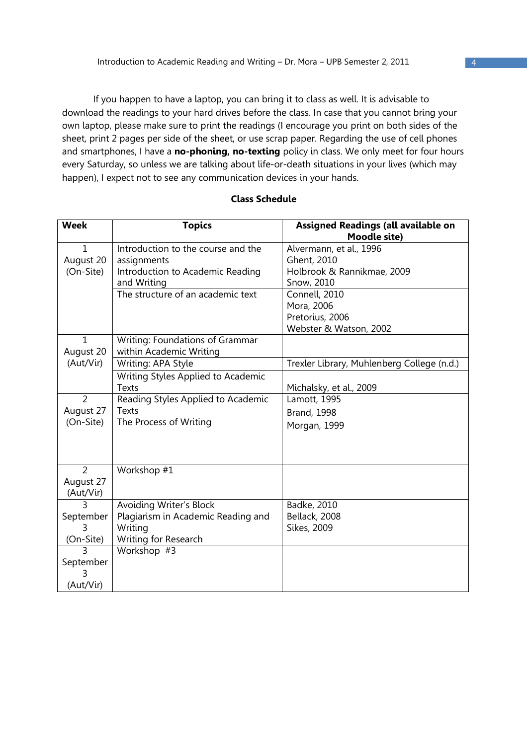If you happen to have a laptop, you can bring it to class as well. It is advisable to download the readings to your hard drives before the class. In case that you cannot bring your own laptop, please make sure to print the readings (I encourage you print on both sides of the sheet, print 2 pages per side of the sheet, or use scrap paper. Regarding the use of cell phones and smartphones, I have a **no-phoning, no-texting** policy in class. We only meet for four hours every Saturday, so unless we are talking about life-or-death situations in your lives (which may happen), I expect not to see any communication devices in your hands.

| <b>Week</b>    | <b>Topics</b>                      | Assigned Readings (all available on        |
|----------------|------------------------------------|--------------------------------------------|
|                |                                    | <b>Moodle site)</b>                        |
| $\mathbf{1}$   | Introduction to the course and the | Alvermann, et al., 1996                    |
| August 20      | assignments                        | Ghent, 2010                                |
| (On-Site)      | Introduction to Academic Reading   | Holbrook & Rannikmae, 2009                 |
|                | and Writing                        | Snow, 2010                                 |
|                | The structure of an academic text  | Connell, 2010                              |
|                |                                    | Mora, 2006                                 |
|                |                                    | Pretorius, 2006                            |
|                |                                    | Webster & Watson, 2002                     |
| $\mathbf{1}$   | Writing: Foundations of Grammar    |                                            |
| August 20      | within Academic Writing            |                                            |
| (Aut/Vir)      | Writing: APA Style                 | Trexler Library, Muhlenberg College (n.d.) |
|                | Writing Styles Applied to Academic |                                            |
|                | <b>Texts</b>                       | Michalsky, et al., 2009                    |
| $\overline{2}$ | Reading Styles Applied to Academic | Lamott, 1995                               |
| August 27      | <b>Texts</b>                       | <b>Brand, 1998</b>                         |
| (On-Site)      | The Process of Writing             | Morgan, 1999                               |
|                |                                    |                                            |
|                |                                    |                                            |
|                |                                    |                                            |
| 2              | Workshop #1                        |                                            |
| August 27      |                                    |                                            |
| (Aut/Vir)      |                                    |                                            |
| ς              | Avoiding Writer's Block            | Badke, 2010                                |
| September      | Plagiarism in Academic Reading and | Bellack, 2008                              |
| 3              | Writing                            | Sikes, 2009                                |
| (On-Site)      | Writing for Research               |                                            |
| ς              | Workshop #3                        |                                            |
| September      |                                    |                                            |
| 3              |                                    |                                            |
| (Aut/Vir)      |                                    |                                            |

## **Class Schedule**